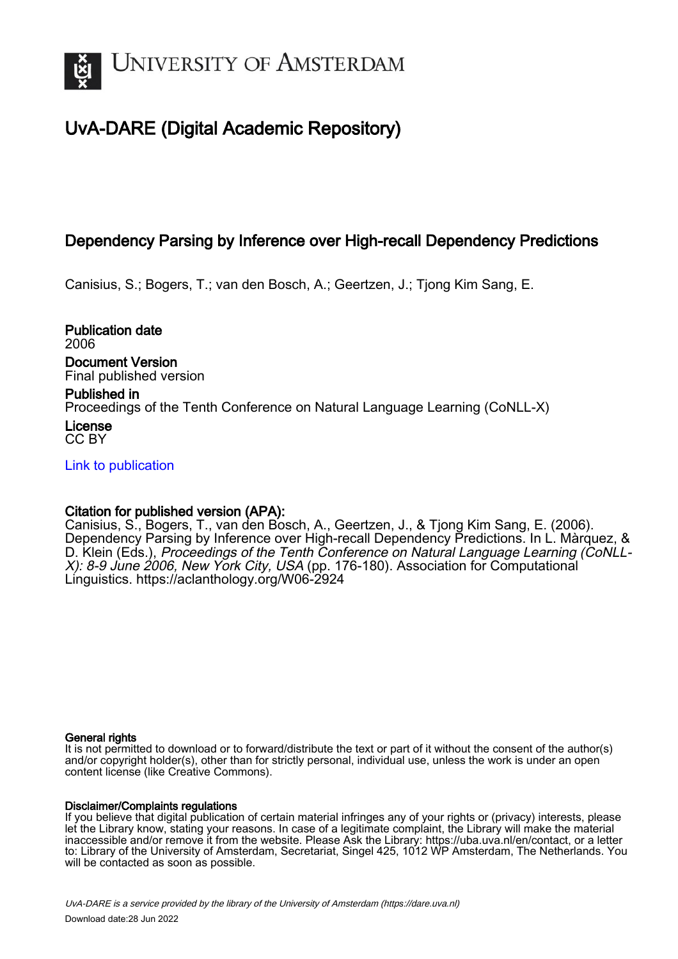

# UvA-DARE (Digital Academic Repository)

## Dependency Parsing by Inference over High-recall Dependency Predictions

Canisius, S.; Bogers, T.; van den Bosch, A.; Geertzen, J.; Tjong Kim Sang, E.

Publication date 2006 Document Version

Final published version

Published in Proceedings of the Tenth Conference on Natural Language Learning (CoNLL-X)

License CC BY

[Link to publication](https://dare.uva.nl/personal/pure/en/publications/dependency-parsing-by-inference-over-highrecall-dependency-predictions(e336c06d-cd0b-41f0-a52f-2bf774c13fc2).html)

## Citation for published version (APA):

Canisius, S., Bogers, T., van den Bosch, A., Geertzen, J., & Tjong Kim Sang, E. (2006). Dependency Parsing by Inference over High-recall Dependency Predictions. In L. Màrquez, & D. Klein (Eds.), Proceedings of the Tenth Conference on Natural Language Learning (CoNLL-X): 8-9 June 2006, New York City, USA (pp. 176-180). Association for Computational Linguistics. <https://aclanthology.org/W06-2924>

## General rights

It is not permitted to download or to forward/distribute the text or part of it without the consent of the author(s) and/or copyright holder(s), other than for strictly personal, individual use, unless the work is under an open content license (like Creative Commons).

## Disclaimer/Complaints regulations

If you believe that digital publication of certain material infringes any of your rights or (privacy) interests, please let the Library know, stating your reasons. In case of a legitimate complaint, the Library will make the material inaccessible and/or remove it from the website. Please Ask the Library: https://uba.uva.nl/en/contact, or a letter to: Library of the University of Amsterdam, Secretariat, Singel 425, 1012 WP Amsterdam, The Netherlands. You will be contacted as soon as possible.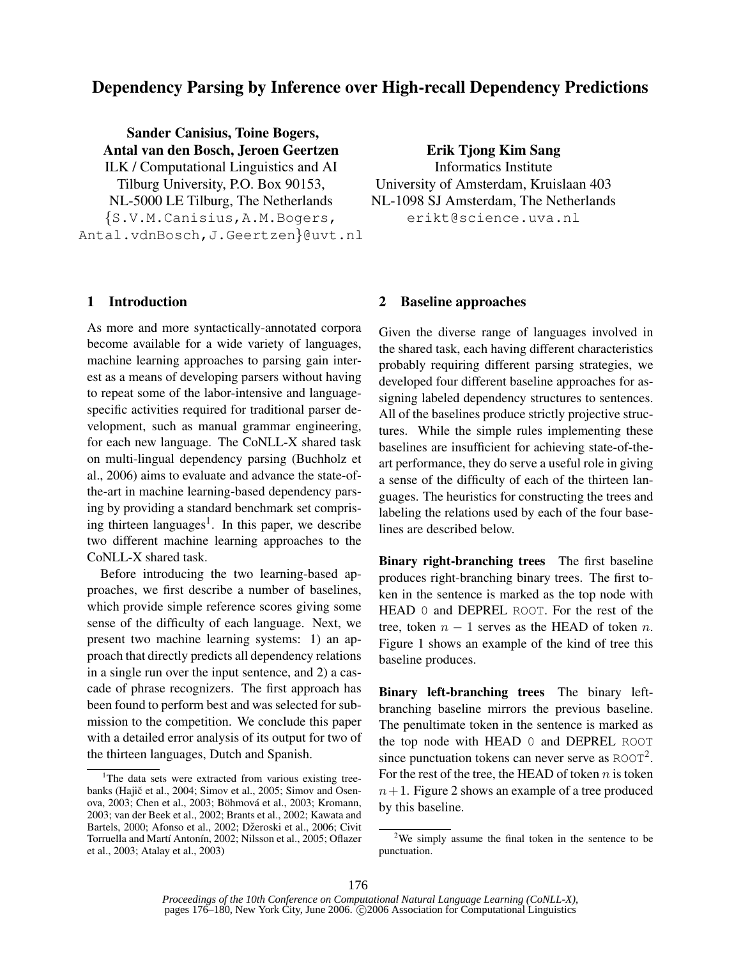## Dependency Parsing by Inference over High-recall Dependency Predictions

Sander Canisius, Toine Bogers, Antal van den Bosch, Jeroen Geertzen ILK / Computational Linguistics and AI Tilburg University, P.O. Box 90153, NL-5000 LE Tilburg, The Netherlands {S.V.M.Canisius,A.M.Bogers, Antal.vdnBosch,J.Geertzen}@uvt.nl

1 Introduction

As more and more syntactically-annotated corpora become available for a wide variety of languages, machine learning approaches to parsing gain interest as a means of developing parsers without having to repeat some of the labor-intensive and languagespecific activities required for traditional parser development, such as manual grammar engineering, for each new language. The CoNLL-X shared task on multi-lingual dependency parsing (Buchholz et al., 2006) aims to evaluate and advance the state-ofthe-art in machine learning-based dependency parsing by providing a standard benchmark set comprising thirteen languages<sup>1</sup>. In this paper, we describe two different machine learning approaches to the CoNLL-X shared task.

Before introducing the two learning-based approaches, we first describe a number of baselines, which provide simple reference scores giving some sense of the difficulty of each language. Next, we present two machine learning systems: 1) an approach that directly predicts all dependency relations in a single run over the input sentence, and 2) a cascade of phrase recognizers. The first approach has been found to perform best and was selected for submission to the competition. We conclude this paper with a detailed error analysis of its output for two of the thirteen languages, Dutch and Spanish.

Erik Tjong Kim Sang Informatics Institute University of Amsterdam, Kruislaan 403 NL-1098 SJ Amsterdam, The Netherlands erikt@science.uva.nl

## 2 Baseline approaches

Given the diverse range of languages involved in the shared task, each having different characteristics probably requiring different parsing strategies, we developed four different baseline approaches for assigning labeled dependency structures to sentences. All of the baselines produce strictly projective structures. While the simple rules implementing these baselines are insufficient for achieving state-of-theart performance, they do serve a useful role in giving a sense of the difficulty of each of the thirteen languages. The heuristics for constructing the trees and labeling the relations used by each of the four baselines are described below.

Binary right-branching trees The first baseline produces right-branching binary trees. The first token in the sentence is marked as the top node with HEAD 0 and DEPREL ROOT. For the rest of the tree, token  $n - 1$  serves as the HEAD of token n. Figure 1 shows an example of the kind of tree this baseline produces.

Binary left-branching trees The binary leftbranching baseline mirrors the previous baseline. The penultimate token in the sentence is marked as the top node with HEAD 0 and DEPREL ROOT since punctuation tokens can never serve as  $ROOT<sup>2</sup>$ . For the rest of the tree, the HEAD of token  $n$  is token  $n+1$ . Figure 2 shows an example of a tree produced by this baseline.

<sup>&</sup>lt;sup>1</sup>The data sets were extracted from various existing treebanks (Hajič et al., 2004; Simov et al., 2005; Simov and Osenova, 2003; Chen et al., 2003; Böhmová et al., 2003; Kromann, 2003; van der Beek et al., 2002; Brants et al., 2002; Kawata and Bartels, 2000; Afonso et al., 2002; Džeroski et al., 2006; Civit Torruella and Martí Antonín, 2002; Nilsson et al., 2005; Oflazer et al., 2003; Atalay et al., 2003)

 $2$ We simply assume the final token in the sentence to be punctuation.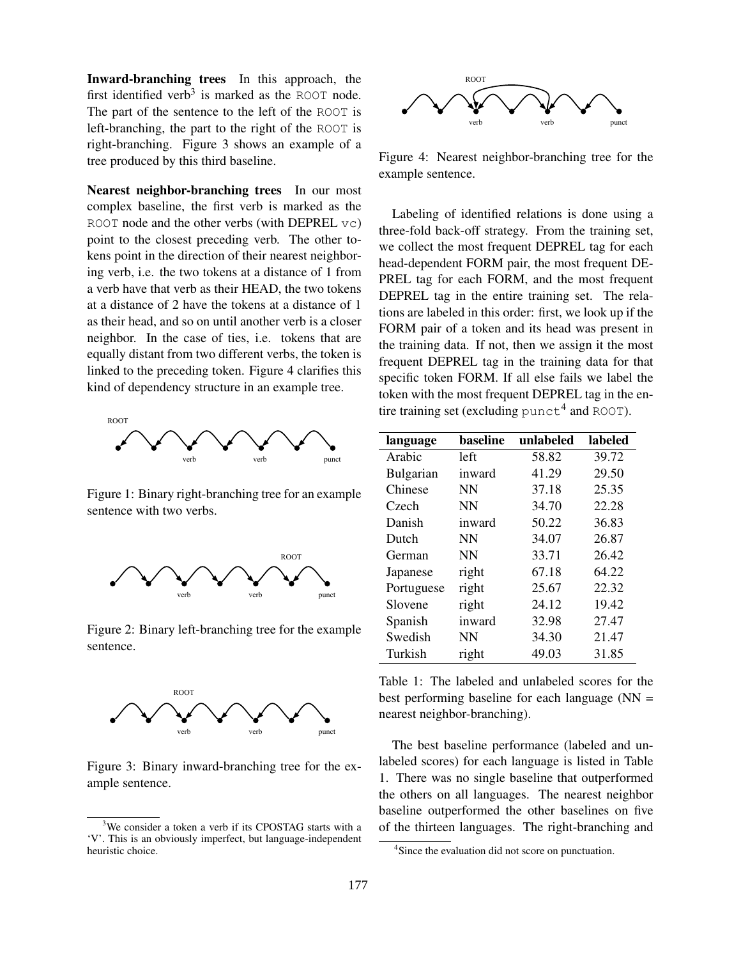Inward-branching trees In this approach, the first identified verb<sup>3</sup> is marked as the ROOT node. The part of the sentence to the left of the ROOT is left-branching, the part to the right of the ROOT is right-branching. Figure 3 shows an example of a tree produced by this third baseline.

Nearest neighbor-branching trees In our most complex baseline, the first verb is marked as the ROOT node and the other verbs (with DEPREL vc) point to the closest preceding verb. The other tokens point in the direction of their nearest neighboring verb, i.e. the two tokens at a distance of 1 from a verb have that verb as their HEAD, the two tokens at a distance of 2 have the tokens at a distance of 1 as their head, and so on until another verb is a closer neighbor. In the case of ties, i.e. tokens that are equally distant from two different verbs, the token is linked to the preceding token. Figure 4 clarifies this kind of dependency structure in an example tree.



Figure 1: Binary right-branching tree for an example sentence with two verbs.



Figure 2: Binary left-branching tree for the example sentence.



Figure 3: Binary inward-branching tree for the example sentence.



Figure 4: Nearest neighbor-branching tree for the example sentence.

Labeling of identified relations is done using a three-fold back-off strategy. From the training set, we collect the most frequent DEPREL tag for each head-dependent FORM pair, the most frequent DE-PREL tag for each FORM, and the most frequent DEPREL tag in the entire training set. The relations are labeled in this order: first, we look up if the FORM pair of a token and its head was present in the training data. If not, then we assign it the most frequent DEPREL tag in the training data for that specific token FORM. If all else fails we label the token with the most frequent DEPREL tag in the entire training set (excluding  $\text{punct}^4$  and ROOT).

| language         | baseline  | unlabeled | labeled |
|------------------|-----------|-----------|---------|
| Arabic           | left      | 58.82     | 39.72   |
| <b>Bulgarian</b> | inward    | 41.29     | 29.50   |
| Chinese          | <b>NN</b> | 37.18     | 25.35   |
| Czech            | <b>NN</b> | 34.70     | 22.28   |
| Danish           | inward    | 50.22     | 36.83   |
| Dutch            | <b>NN</b> | 34.07     | 26.87   |
| German           | <b>NN</b> | 33.71     | 26.42   |
| Japanese         | right     | 67.18     | 64.22   |
| Portuguese       | right     | 25.67     | 22.32   |
| Slovene          | right     | 24.12     | 19.42   |
| Spanish          | inward    | 32.98     | 27.47   |
| Swedish          | NN        | 34.30     | 21.47   |
| Turkish          | right     | 49.03     | 31.85   |

Table 1: The labeled and unlabeled scores for the best performing baseline for each language  $(NN =$ nearest neighbor-branching).

The best baseline performance (labeled and unlabeled scores) for each language is listed in Table 1. There was no single baseline that outperformed the others on all languages. The nearest neighbor baseline outperformed the other baselines on five of the thirteen languages. The right-branching and

<sup>3</sup>We consider a token a verb if its CPOSTAG starts with a 'V'. This is an obviously imperfect, but language-independent heuristic choice.

<sup>&</sup>lt;sup>4</sup>Since the evaluation did not score on punctuation.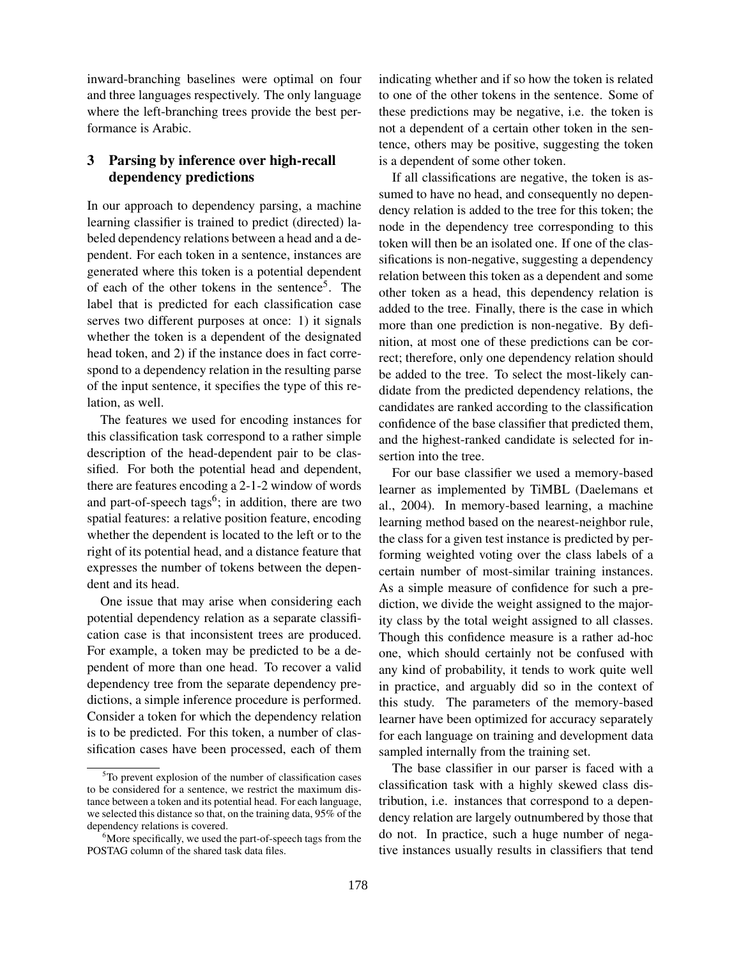inward-branching baselines were optimal on four and three languages respectively. The only language where the left-branching trees provide the best performance is Arabic.

## 3 Parsing by inference over high-recall dependency predictions

In our approach to dependency parsing, a machine learning classifier is trained to predict (directed) labeled dependency relations between a head and a dependent. For each token in a sentence, instances are generated where this token is a potential dependent of each of the other tokens in the sentence<sup>5</sup>. The label that is predicted for each classification case serves two different purposes at once: 1) it signals whether the token is a dependent of the designated head token, and 2) if the instance does in fact correspond to a dependency relation in the resulting parse of the input sentence, it specifies the type of this relation, as well.

The features we used for encoding instances for this classification task correspond to a rather simple description of the head-dependent pair to be classified. For both the potential head and dependent, there are features encoding a 2-1-2 window of words and part-of-speech tags<sup>6</sup>; in addition, there are two spatial features: a relative position feature, encoding whether the dependent is located to the left or to the right of its potential head, and a distance feature that expresses the number of tokens between the dependent and its head.

One issue that may arise when considering each potential dependency relation as a separate classification case is that inconsistent trees are produced. For example, a token may be predicted to be a dependent of more than one head. To recover a valid dependency tree from the separate dependency predictions, a simple inference procedure is performed. Consider a token for which the dependency relation is to be predicted. For this token, a number of classification cases have been processed, each of them

indicating whether and if so how the token is related to one of the other tokens in the sentence. Some of these predictions may be negative, i.e. the token is not a dependent of a certain other token in the sentence, others may be positive, suggesting the token is a dependent of some other token.

If all classifications are negative, the token is assumed to have no head, and consequently no dependency relation is added to the tree for this token; the node in the dependency tree corresponding to this token will then be an isolated one. If one of the classifications is non-negative, suggesting a dependency relation between this token as a dependent and some other token as a head, this dependency relation is added to the tree. Finally, there is the case in which more than one prediction is non-negative. By definition, at most one of these predictions can be correct; therefore, only one dependency relation should be added to the tree. To select the most-likely candidate from the predicted dependency relations, the candidates are ranked according to the classification confidence of the base classifier that predicted them, and the highest-ranked candidate is selected for insertion into the tree.

For our base classifier we used a memory-based learner as implemented by TiMBL (Daelemans et al., 2004). In memory-based learning, a machine learning method based on the nearest-neighbor rule, the class for a given test instance is predicted by performing weighted voting over the class labels of a certain number of most-similar training instances. As a simple measure of confidence for such a prediction, we divide the weight assigned to the majority class by the total weight assigned to all classes. Though this confidence measure is a rather ad-hoc one, which should certainly not be confused with any kind of probability, it tends to work quite well in practice, and arguably did so in the context of this study. The parameters of the memory-based learner have been optimized for accuracy separately for each language on training and development data sampled internally from the training set.

The base classifier in our parser is faced with a classification task with a highly skewed class distribution, i.e. instances that correspond to a dependency relation are largely outnumbered by those that do not. In practice, such a huge number of negative instances usually results in classifiers that tend

 $5T<sub>0</sub>$  prevent explosion of the number of classification cases to be considered for a sentence, we restrict the maximum distance between a token and its potential head. For each language, we selected this distance so that, on the training data, 95% of the dependency relations is covered.

 $6$ More specifically, we used the part-of-speech tags from the POSTAG column of the shared task data files.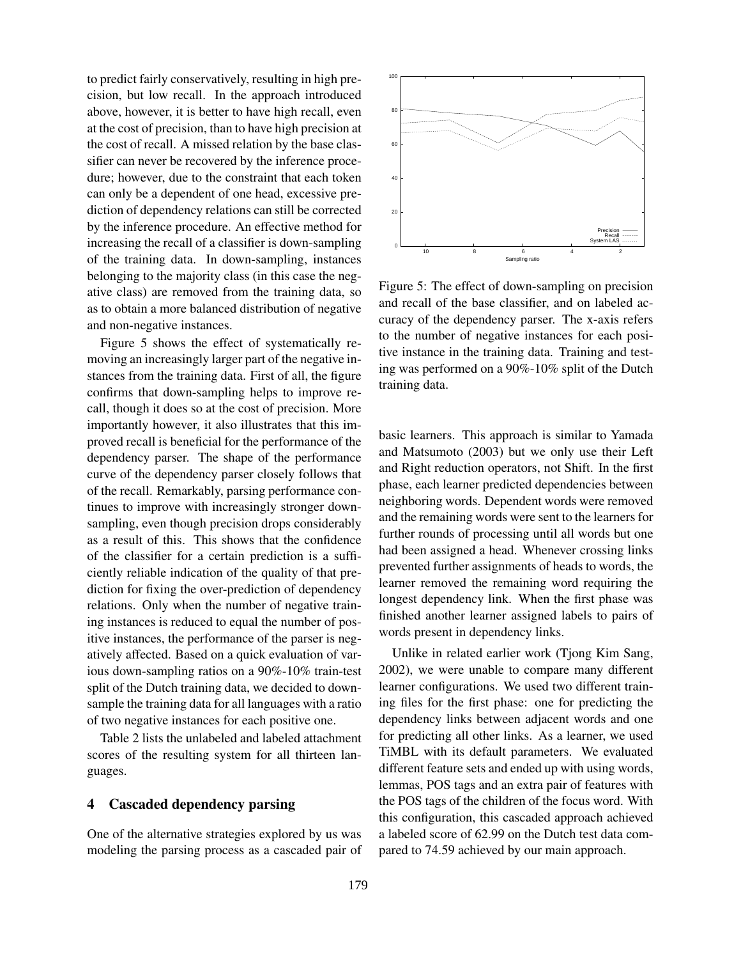to predict fairly conservatively, resulting in high precision, but low recall. In the approach introduced above, however, it is better to have high recall, even at the cost of precision, than to have high precision at the cost of recall. A missed relation by the base classifier can never be recovered by the inference procedure; however, due to the constraint that each token can only be a dependent of one head, excessive prediction of dependency relations can still be corrected by the inference procedure. An effective method for increasing the recall of a classifier is down-sampling of the training data. In down-sampling, instances belonging to the majority class (in this case the negative class) are removed from the training data, so as to obtain a more balanced distribution of negative and non-negative instances.

Figure 5 shows the effect of systematically removing an increasingly larger part of the negative instances from the training data. First of all, the figure confirms that down-sampling helps to improve recall, though it does so at the cost of precision. More importantly however, it also illustrates that this improved recall is beneficial for the performance of the dependency parser. The shape of the performance curve of the dependency parser closely follows that of the recall. Remarkably, parsing performance continues to improve with increasingly stronger downsampling, even though precision drops considerably as a result of this. This shows that the confidence of the classifier for a certain prediction is a sufficiently reliable indication of the quality of that prediction for fixing the over-prediction of dependency relations. Only when the number of negative training instances is reduced to equal the number of positive instances, the performance of the parser is negatively affected. Based on a quick evaluation of various down-sampling ratios on a 90%-10% train-test split of the Dutch training data, we decided to downsample the training data for all languages with a ratio of two negative instances for each positive one.

Table 2 lists the unlabeled and labeled attachment scores of the resulting system for all thirteen languages.

### 4 Cascaded dependency parsing

One of the alternative strategies explored by us was modeling the parsing process as a cascaded pair of



Figure 5: The effect of down-sampling on precision and recall of the base classifier, and on labeled accuracy of the dependency parser. The x-axis refers to the number of negative instances for each positive instance in the training data. Training and testing was performed on a 90%-10% split of the Dutch training data.

basic learners. This approach is similar to Yamada and Matsumoto (2003) but we only use their Left and Right reduction operators, not Shift. In the first phase, each learner predicted dependencies between neighboring words. Dependent words were removed and the remaining words were sent to the learners for further rounds of processing until all words but one had been assigned a head. Whenever crossing links prevented further assignments of heads to words, the learner removed the remaining word requiring the longest dependency link. When the first phase was finished another learner assigned labels to pairs of words present in dependency links.

Unlike in related earlier work (Tjong Kim Sang, 2002), we were unable to compare many different learner configurations. We used two different training files for the first phase: one for predicting the dependency links between adjacent words and one for predicting all other links. As a learner, we used TiMBL with its default parameters. We evaluated different feature sets and ended up with using words, lemmas, POS tags and an extra pair of features with the POS tags of the children of the focus word. With this configuration, this cascaded approach achieved a labeled score of 62.99 on the Dutch test data compared to 74.59 achieved by our main approach.